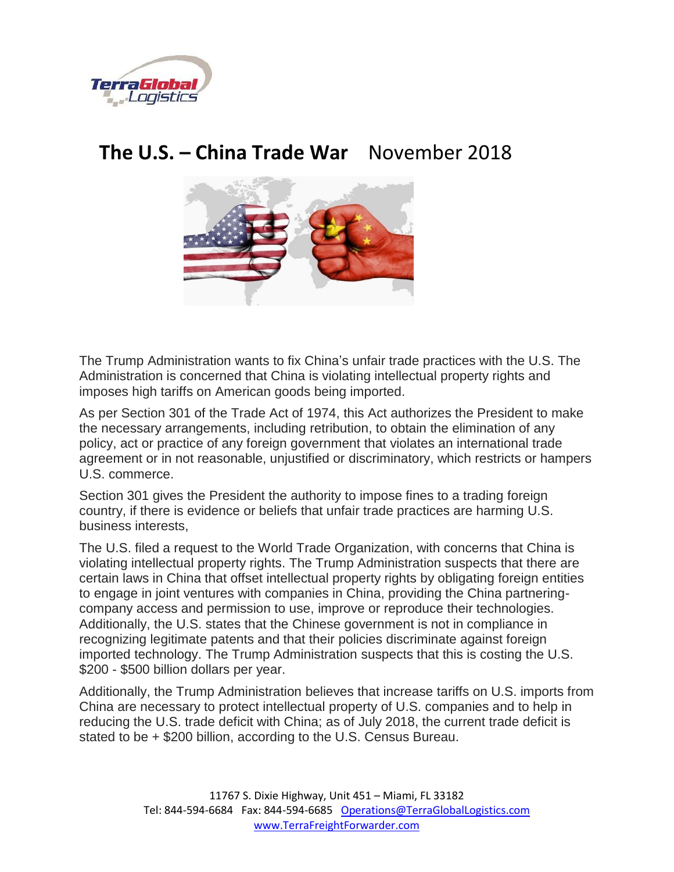

## **The U.S. – China Trade War** November 2018



The Trump Administration wants to fix China's unfair trade practices with the U.S. The Administration is concerned that China is violating intellectual property rights and imposes high tariffs on American goods being imported.

As per Section 301 of the Trade Act of 1974, this Act authorizes the President to make the necessary arrangements, including retribution, to obtain the elimination of any policy, act or practice of any foreign government that violates an international trade agreement or in not reasonable, unjustified or discriminatory, which restricts or hampers U.S. commerce.

Section 301 gives the President the authority to impose fines to a trading foreign country, if there is evidence or beliefs that unfair trade practices are harming U.S. business interests,

The U.S. filed a request to the World Trade Organization, with concerns that China is violating intellectual property rights. The Trump Administration suspects that there are certain laws in China that offset intellectual property rights by obligating foreign entities to engage in joint ventures with companies in China, providing the China partneringcompany access and permission to use, improve or reproduce their technologies. Additionally, the U.S. states that the Chinese government is not in compliance in recognizing legitimate patents and that their policies discriminate against foreign imported technology. The Trump Administration suspects that this is costing the U.S. \$200 - \$500 billion dollars per year.

Additionally, the Trump Administration believes that increase tariffs on U.S. imports from China are necessary to protect intellectual property of U.S. companies and to help in reducing the U.S. trade deficit with China; as of July 2018, the current trade deficit is stated to be + \$200 billion, according to the U.S. Census Bureau.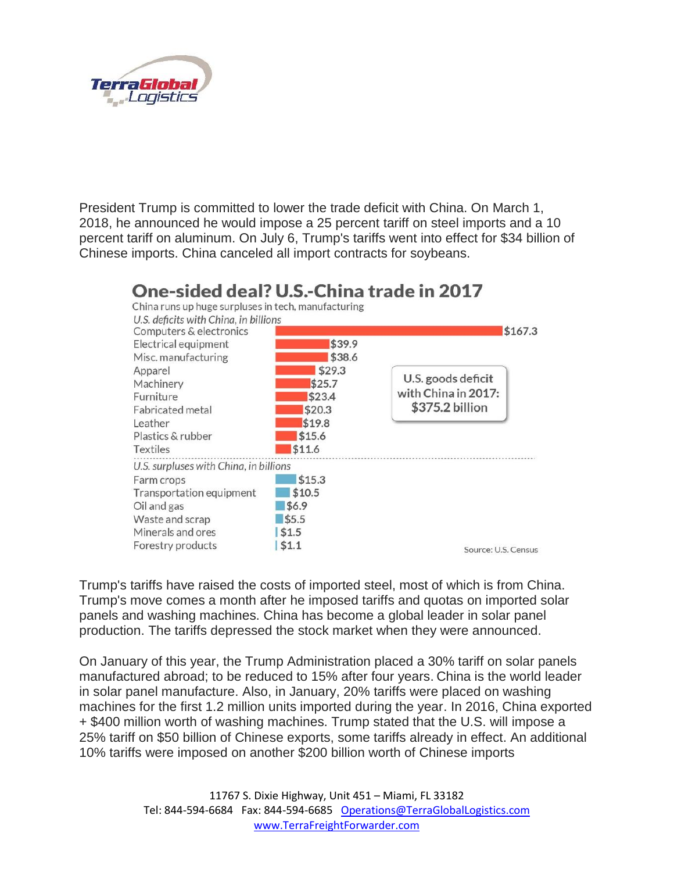

President Trump is committed to lower the trade deficit with China. On March 1, 2018, he announced he would impose a 25 percent tariff on steel imports and a 10 percent tariff on aluminum. On July 6, Trump's tariffs went into effect for \$34 billion of Chinese imports. China canceled all import contracts for soybeans.



Trump's tariffs have raised the costs of imported steel, most of which is from China. Trump's move comes a month after he imposed tariffs and quotas on imported solar panels and washing machines. China has become a global leader in solar panel production. The tariffs depressed the stock market when they were announced.

On January of this year, the Trump Administration placed a 30% tariff on solar panels manufactured abroad; to be reduced to 15% after four years. China is the world leader in solar panel manufacture. Also, in January, 20% tariffs were placed on washing machines for the first 1.2 million units imported during the year. In 2016, China exported + \$400 million worth of washing machines. Trump stated that the U.S. will impose a 25% tariff on \$50 billion of Chinese exports, some tariffs already in effect. An additional 10% tariffs were imposed on another \$200 billion worth of Chinese imports